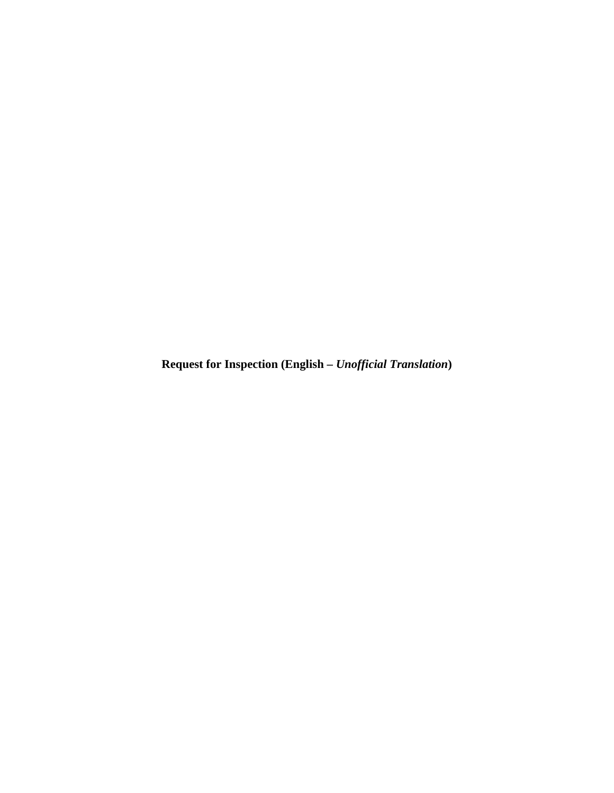**Request for Inspection (English –** *Unofficial Translation***)**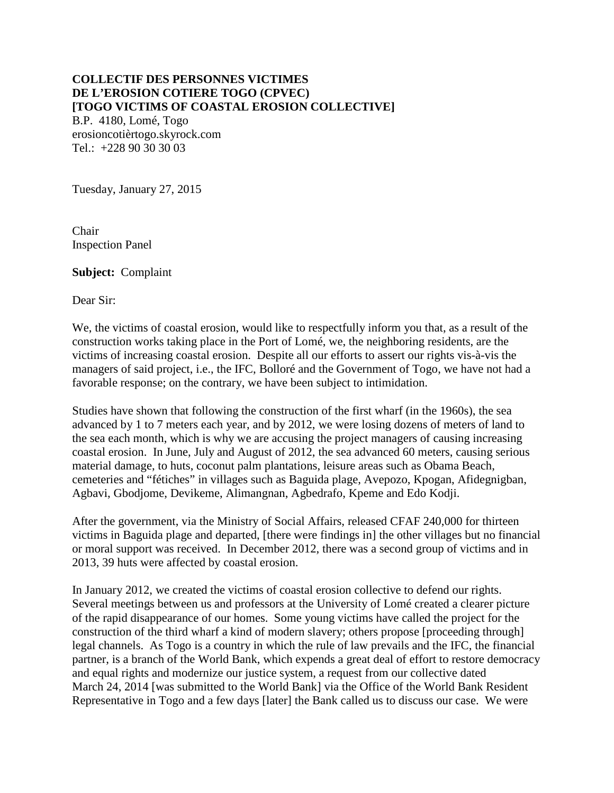# **COLLECTIF DES PERSONNES VICTIMES DE L'EROSION COTIERE TOGO (CPVEC) [TOGO VICTIMS OF COASTAL EROSION COLLECTIVE]**

B.P. 4180, Lomé, Togo erosioncotièrtogo.skyrock.com Tel.: +228 90 30 30 03

Tuesday, January 27, 2015

Chair Inspection Panel

**Subject:** Complaint

Dear Sir:

We, the victims of coastal erosion, would like to respectfully inform you that, as a result of the construction works taking place in the Port of Lomé, we, the neighboring residents, are the victims of increasing coastal erosion. Despite all our efforts to assert our rights vis-à-vis the managers of said project, i.e., the IFC, Bolloré and the Government of Togo, we have not had a favorable response; on the contrary, we have been subject to intimidation.

Studies have shown that following the construction of the first wharf (in the 1960s), the sea advanced by 1 to 7 meters each year, and by 2012, we were losing dozens of meters of land to the sea each month, which is why we are accusing the project managers of causing increasing coastal erosion. In June, July and August of 2012, the sea advanced 60 meters, causing serious material damage, to huts, coconut palm plantations, leisure areas such as Obama Beach, cemeteries and "fétiches" in villages such as Baguida plage, Avepozo, Kpogan, Afidegnigban, Agbavi, Gbodjome, Devikeme, Alimangnan, Agbedrafo, Kpeme and Edo Kodji.

After the government, via the Ministry of Social Affairs, released CFAF 240,000 for thirteen victims in Baguida plage and departed, [there were findings in] the other villages but no financial or moral support was received. In December 2012, there was a second group of victims and in 2013, 39 huts were affected by coastal erosion.

In January 2012, we created the victims of coastal erosion collective to defend our rights. Several meetings between us and professors at the University of Lomé created a clearer picture of the rapid disappearance of our homes. Some young victims have called the project for the construction of the third wharf a kind of modern slavery; others propose [proceeding through] legal channels. As Togo is a country in which the rule of law prevails and the IFC, the financial partner, is a branch of the World Bank, which expends a great deal of effort to restore democracy and equal rights and modernize our justice system, a request from our collective dated March 24, 2014 [was submitted to the World Bank] via the Office of the World Bank Resident Representative in Togo and a few days [later] the Bank called us to discuss our case. We were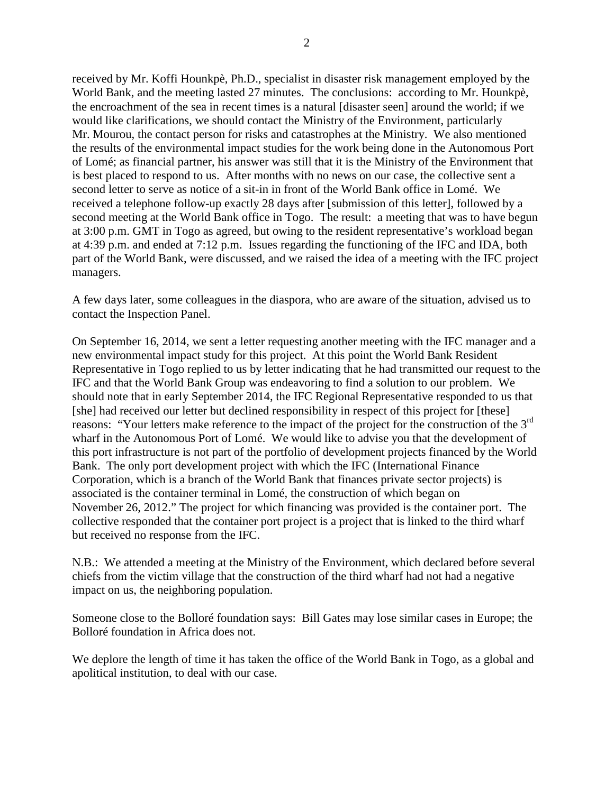received by Mr. Koffi Hounkpè, Ph.D., specialist in disaster risk management employed by the World Bank, and the meeting lasted 27 minutes. The conclusions: according to Mr. Hounkpè, the encroachment of the sea in recent times is a natural [disaster seen] around the world; if we would like clarifications, we should contact the Ministry of the Environment, particularly Mr. Mourou, the contact person for risks and catastrophes at the Ministry. We also mentioned the results of the environmental impact studies for the work being done in the Autonomous Port of Lomé; as financial partner, his answer was still that it is the Ministry of the Environment that is best placed to respond to us. After months with no news on our case, the collective sent a second letter to serve as notice of a sit-in in front of the World Bank office in Lomé. We received a telephone follow-up exactly 28 days after [submission of this letter], followed by a second meeting at the World Bank office in Togo. The result: a meeting that was to have begun at 3:00 p.m. GMT in Togo as agreed, but owing to the resident representative's workload began at 4:39 p.m. and ended at 7:12 p.m. Issues regarding the functioning of the IFC and IDA, both part of the World Bank, were discussed, and we raised the idea of a meeting with the IFC project managers.

A few days later, some colleagues in the diaspora, who are aware of the situation, advised us to contact the Inspection Panel.

On September 16, 2014, we sent a letter requesting another meeting with the IFC manager and a new environmental impact study for this project. At this point the World Bank Resident Representative in Togo replied to us by letter indicating that he had transmitted our request to the IFC and that the World Bank Group was endeavoring to find a solution to our problem. We should note that in early September 2014, the IFC Regional Representative responded to us that [she] had received our letter but declined responsibility in respect of this project for [these] reasons: "Your letters make reference to the impact of the project for the construction of the 3<sup>rd</sup> wharf in the Autonomous Port of Lomé. We would like to advise you that the development of this port infrastructure is not part of the portfolio of development projects financed by the World Bank. The only port development project with which the IFC (International Finance Corporation, which is a branch of the World Bank that finances private sector projects) is associated is the container terminal in Lomé, the construction of which began on November 26, 2012." The project for which financing was provided is the container port. The collective responded that the container port project is a project that is linked to the third wharf but received no response from the IFC.

N.B.: We attended a meeting at the Ministry of the Environment, which declared before several chiefs from the victim village that the construction of the third wharf had not had a negative impact on us, the neighboring population.

Someone close to the Bolloré foundation says: Bill Gates may lose similar cases in Europe; the Bolloré foundation in Africa does not.

We deplore the length of time it has taken the office of the World Bank in Togo, as a global and apolitical institution, to deal with our case.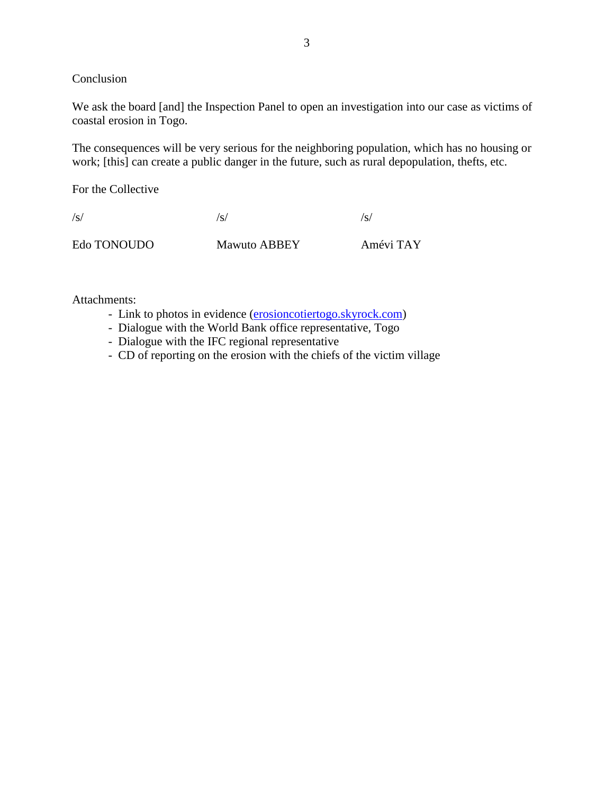Conclusion

We ask the board [and] the Inspection Panel to open an investigation into our case as victims of coastal erosion in Togo.

The consequences will be very serious for the neighboring population, which has no housing or work; [this] can create a public danger in the future, such as rural depopulation, thefts, etc.

For the Collective

 $\sqrt{s}}/s$  /s/ Edo TONOUDO Mawuto ABBEY Amévi TAY

Attachments:

- Link to photos in evidence [\(erosioncotiertogo.skyrock.com\)](http://www.erosioncotiertogo.skyrock.com/)
- Dialogue with the World Bank office representative, Togo
- Dialogue with the IFC regional representative
- CD of reporting on the erosion with the chiefs of the victim village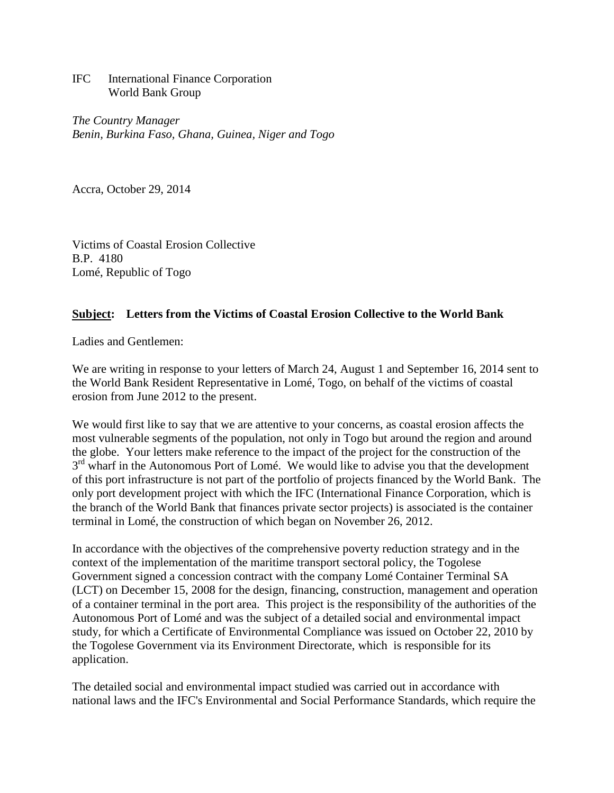IFC International Finance Corporation World Bank Group

*The Country Manager Benin, Burkina Faso, Ghana, Guinea, Niger and Togo*

Accra, October 29, 2014

Victims of Coastal Erosion Collective B.P. 4180 Lomé, Republic of Togo

## **Subject: Letters from the Victims of Coastal Erosion Collective to the World Bank**

Ladies and Gentlemen:

We are writing in response to your letters of March 24, August 1 and September 16, 2014 sent to the World Bank Resident Representative in Lomé, Togo, on behalf of the victims of coastal erosion from June 2012 to the present.

We would first like to say that we are attentive to your concerns, as coastal erosion affects the most vulnerable segments of the population, not only in Togo but around the region and around the globe. Your letters make reference to the impact of the project for the construction of the 3<sup>rd</sup> wharf in the Autonomous Port of Lomé. We would like to advise you that the development of this port infrastructure is not part of the portfolio of projects financed by the World Bank. The only port development project with which the IFC (International Finance Corporation, which is the branch of the World Bank that finances private sector projects) is associated is the container terminal in Lomé, the construction of which began on November 26, 2012.

In accordance with the objectives of the comprehensive poverty reduction strategy and in the context of the implementation of the maritime transport sectoral policy, the Togolese Government signed a concession contract with the company Lomé Container Terminal SA (LCT) on December 15, 2008 for the design, financing, construction, management and operation of a container terminal in the port area. This project is the responsibility of the authorities of the Autonomous Port of Lomé and was the subject of a detailed social and environmental impact study, for which a Certificate of Environmental Compliance was issued on October 22, 2010 by the Togolese Government via its Environment Directorate, which is responsible for its application.

The detailed social and environmental impact studied was carried out in accordance with national laws and the IFC's Environmental and Social Performance Standards, which require the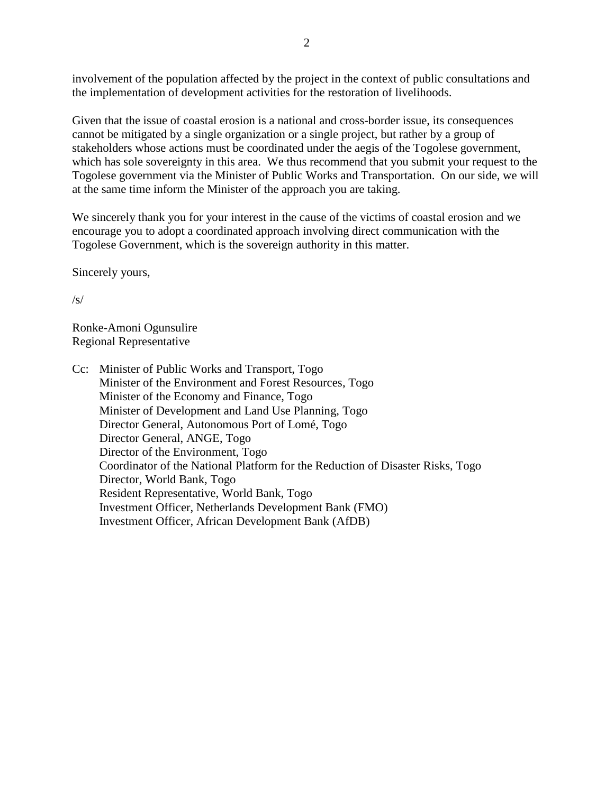involvement of the population affected by the project in the context of public consultations and the implementation of development activities for the restoration of livelihoods.

Given that the issue of coastal erosion is a national and cross-border issue, its consequences cannot be mitigated by a single organization or a single project, but rather by a group of stakeholders whose actions must be coordinated under the aegis of the Togolese government, which has sole sovereignty in this area. We thus recommend that you submit your request to the Togolese government via the Minister of Public Works and Transportation. On our side, we will at the same time inform the Minister of the approach you are taking.

We sincerely thank you for your interest in the cause of the victims of coastal erosion and we encourage you to adopt a coordinated approach involving direct communication with the Togolese Government, which is the sovereign authority in this matter.

Sincerely yours,

/s/

Ronke-Amoni Ogunsulire Regional Representative

Cc: Minister of Public Works and Transport, Togo Minister of the Environment and Forest Resources, Togo Minister of the Economy and Finance, Togo Minister of Development and Land Use Planning, Togo Director General, Autonomous Port of Lomé, Togo Director General, ANGE, Togo Director of the Environment, Togo Coordinator of the National Platform for the Reduction of Disaster Risks, Togo Director, World Bank, Togo Resident Representative, World Bank, Togo Investment Officer, Netherlands Development Bank (FMO) Investment Officer, African Development Bank (AfDB)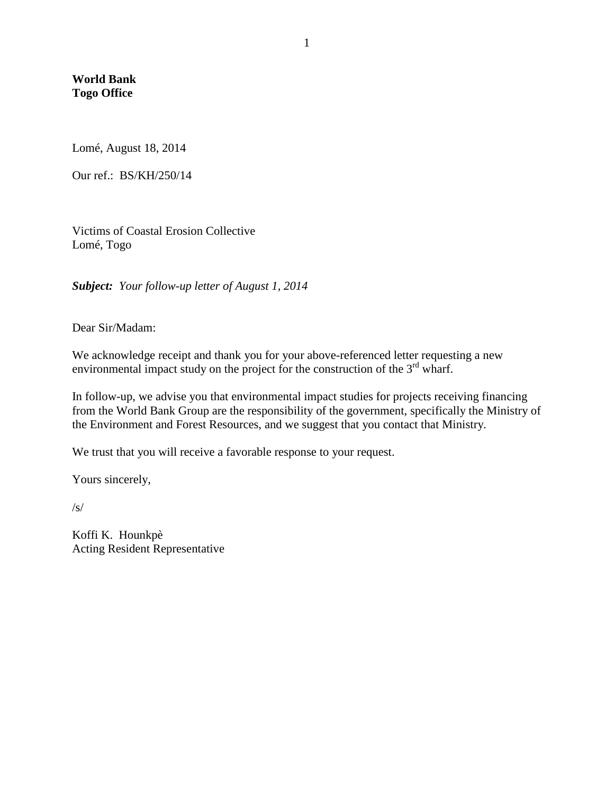**World Bank Togo Office**

Lomé, August 18, 2014

Our ref.: BS/KH/250/14

Victims of Coastal Erosion Collective Lomé, Togo

*Subject: Your follow-up letter of August 1, 2014*

Dear Sir/Madam:

We acknowledge receipt and thank you for your above-referenced letter requesting a new environmental impact study on the project for the construction of the  $3<sup>rd</sup>$  wharf.

In follow-up, we advise you that environmental impact studies for projects receiving financing from the World Bank Group are the responsibility of the government, specifically the Ministry of the Environment and Forest Resources, and we suggest that you contact that Ministry.

We trust that you will receive a favorable response to your request.

Yours sincerely,

/s/

Koffi K. Hounkpè Acting Resident Representative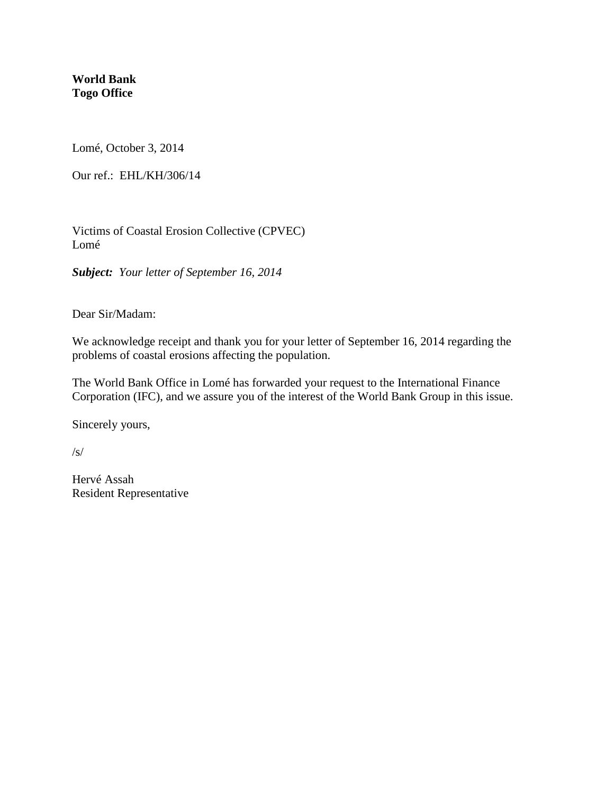**World Bank Togo Office**

Lomé, October 3, 2014

Our ref.: EHL/KH/306/14

Victims of Coastal Erosion Collective (CPVEC) Lomé

*Subject: Your letter of September 16, 2014*

Dear Sir/Madam:

We acknowledge receipt and thank you for your letter of September 16, 2014 regarding the problems of coastal erosions affecting the population.

The World Bank Office in Lomé has forwarded your request to the International Finance Corporation (IFC), and we assure you of the interest of the World Bank Group in this issue.

Sincerely yours,

/s/

Hervé Assah Resident Representative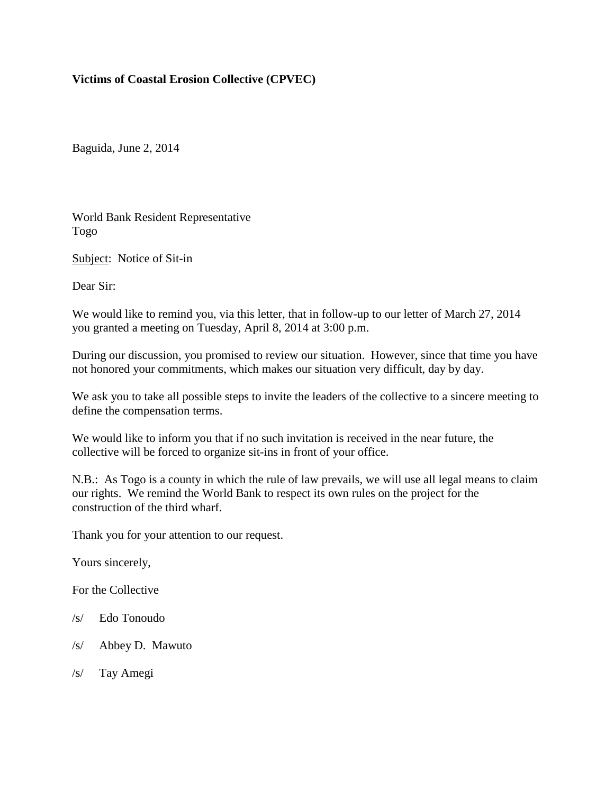# **Victims of Coastal Erosion Collective (CPVEC)**

Baguida, June 2, 2014

World Bank Resident Representative Togo

Subject: Notice of Sit-in

Dear Sir:

We would like to remind you, via this letter, that in follow-up to our letter of March 27, 2014 you granted a meeting on Tuesday, April 8, 2014 at 3:00 p.m.

During our discussion, you promised to review our situation. However, since that time you have not honored your commitments, which makes our situation very difficult, day by day.

We ask you to take all possible steps to invite the leaders of the collective to a sincere meeting to define the compensation terms.

We would like to inform you that if no such invitation is received in the near future, the collective will be forced to organize sit-ins in front of your office.

N.B.: As Togo is a county in which the rule of law prevails, we will use all legal means to claim our rights. We remind the World Bank to respect its own rules on the project for the construction of the third wharf.

Thank you for your attention to our request.

Yours sincerely,

For the Collective

- /s/ Edo Tonoudo
- /s/ Abbey D. Mawuto
- /s/ Tay Amegi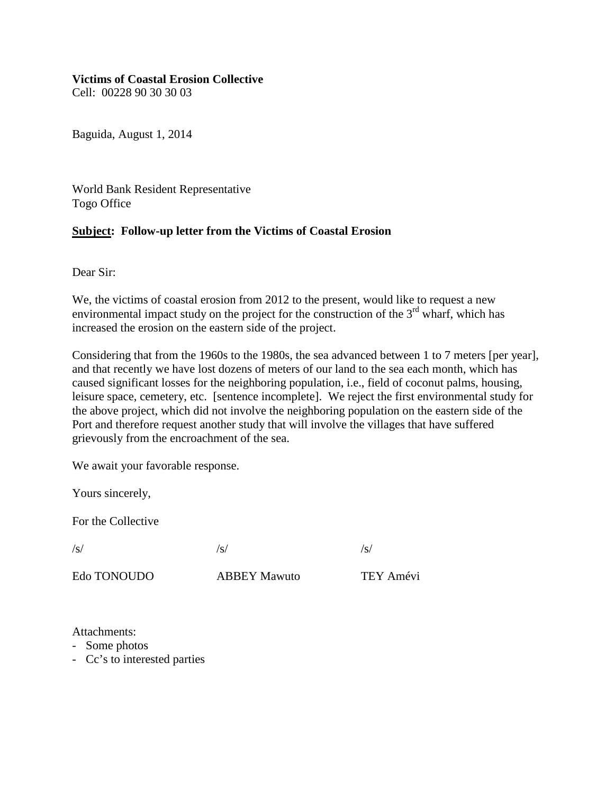#### **Victims of Coastal Erosion Collective**

Cell: 00228 90 30 30 03

Baguida, August 1, 2014

World Bank Resident Representative Togo Office

#### **Subject: Follow-up letter from the Victims of Coastal Erosion**

Dear Sir:

We, the victims of coastal erosion from 2012 to the present, would like to request a new environmental impact study on the project for the construction of the  $3<sup>rd</sup>$  wharf, which has increased the erosion on the eastern side of the project.

Considering that from the 1960s to the 1980s, the sea advanced between 1 to 7 meters [per year], and that recently we have lost dozens of meters of our land to the sea each month, which has caused significant losses for the neighboring population, i.e., field of coconut palms, housing, leisure space, cemetery, etc. [sentence incomplete]. We reject the first environmental study for the above project, which did not involve the neighboring population on the eastern side of the Port and therefore request another study that will involve the villages that have suffered grievously from the encroachment of the sea.

We await your favorable response.

Yours sincerely,

For the Collective

 $\sqrt{s}}/s$  /s/

Edo TONOUDO ABBEY Mawuto TEY Amévi

Attachments:

- Some photos
- Cc's to interested parties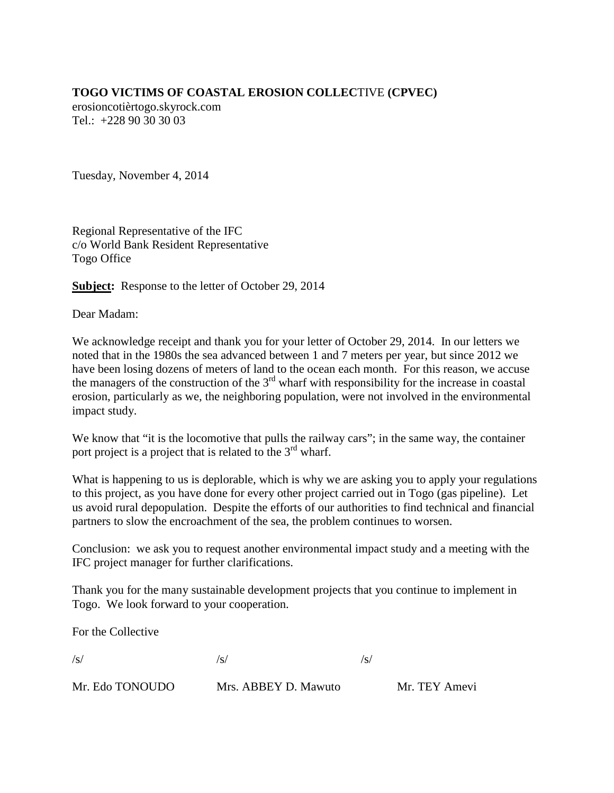# **TOGO VICTIMS OF COASTAL EROSION COLLEC**TIVE **(CPVEC)**

erosioncotièrtogo.skyrock.com Tel.: +228 90 30 30 03

Tuesday, November 4, 2014

Regional Representative of the IFC c/o World Bank Resident Representative Togo Office

**Subject:** Response to the letter of October 29, 2014

Dear Madam:

We acknowledge receipt and thank you for your letter of October 29, 2014. In our letters we noted that in the 1980s the sea advanced between 1 and 7 meters per year, but since 2012 we have been losing dozens of meters of land to the ocean each month. For this reason, we accuse the managers of the construction of the  $3<sup>rd</sup>$  wharf with responsibility for the increase in coastal erosion, particularly as we, the neighboring population, were not involved in the environmental impact study.

We know that "it is the locomotive that pulls the railway cars"; in the same way, the container port project is a project that is related to the  $3<sup>rd</sup>$  wharf.

What is happening to us is deplorable, which is why we are asking you to apply your regulations to this project, as you have done for every other project carried out in Togo (gas pipeline). Let us avoid rural depopulation. Despite the efforts of our authorities to find technical and financial partners to slow the encroachment of the sea, the problem continues to worsen.

Conclusion: we ask you to request another environmental impact study and a meeting with the IFC project manager for further clarifications.

Thank you for the many sustainable development projects that you continue to implement in Togo. We look forward to your cooperation.

For the Collective

 $\sqrt{s}}/s$  /s/

| Mr. Edo TONOUDO | Mrs. ABBEY D. Mawuto | Mr. TEY Amevi |
|-----------------|----------------------|---------------|
|-----------------|----------------------|---------------|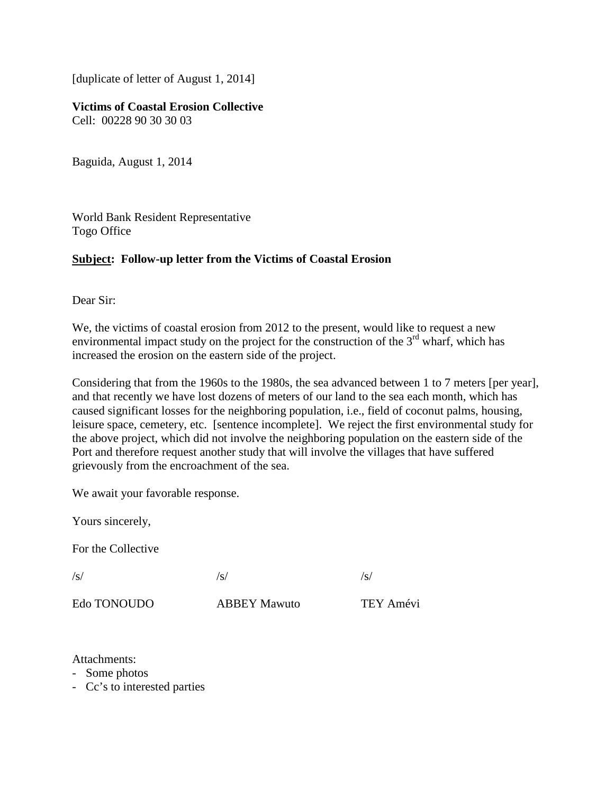[duplicate of letter of August 1, 2014]

**Victims of Coastal Erosion Collective** Cell: 00228 90 30 30 03

Baguida, August 1, 2014

World Bank Resident Representative Togo Office

#### **Subject: Follow-up letter from the Victims of Coastal Erosion**

Dear Sir:

We, the victims of coastal erosion from 2012 to the present, would like to request a new environmental impact study on the project for the construction of the  $3<sup>rd</sup>$  wharf, which has increased the erosion on the eastern side of the project.

Considering that from the 1960s to the 1980s, the sea advanced between 1 to 7 meters [per year], and that recently we have lost dozens of meters of our land to the sea each month, which has caused significant losses for the neighboring population, i.e., field of coconut palms, housing, leisure space, cemetery, etc. [sentence incomplete]. We reject the first environmental study for the above project, which did not involve the neighboring population on the eastern side of the Port and therefore request another study that will involve the villages that have suffered grievously from the encroachment of the sea.

We await your favorable response.

Yours sincerely,

For the Collective

 $\sqrt{s}}/s$  /s/

Edo TONOUDO ABBEY Mawuto TEY Amévi

Attachments:

- Some photos
- Cc's to interested parties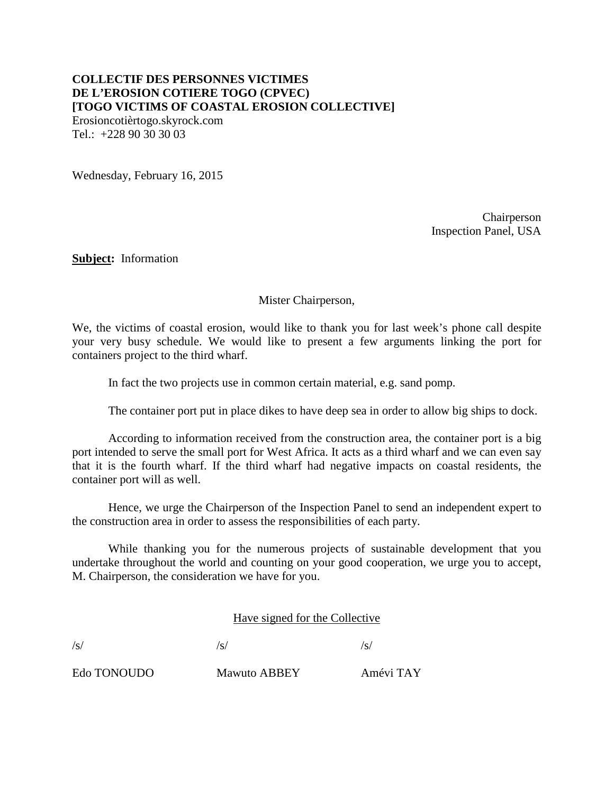# **COLLECTIF DES PERSONNES VICTIMES DE L'EROSION COTIERE TOGO (CPVEC) [TOGO VICTIMS OF COASTAL EROSION COLLECTIVE]**

Erosioncotièrtogo.skyrock.com Tel.: +228 90 30 30 03

Wednesday, February 16, 2015

Chairperson Inspection Panel, USA

**Subject:** Information

Mister Chairperson,

We, the victims of coastal erosion, would like to thank you for last week's phone call despite your very busy schedule. We would like to present a few arguments linking the port for containers project to the third wharf.

In fact the two projects use in common certain material, e.g. sand pomp.

The container port put in place dikes to have deep sea in order to allow big ships to dock.

According to information received from the construction area, the container port is a big port intended to serve the small port for West Africa. It acts as a third wharf and we can even say that it is the fourth wharf. If the third wharf had negative impacts on coastal residents, the container port will as well.

Hence, we urge the Chairperson of the Inspection Panel to send an independent expert to the construction area in order to assess the responsibilities of each party.

While thanking you for the numerous projects of sustainable development that you undertake throughout the world and counting on your good cooperation, we urge you to accept, M. Chairperson, the consideration we have for you.

Have signed for the Collective

 $\sqrt{s}}/s$  /s/

Edo TONOUDO Mawuto ABBEY Amévi TAY